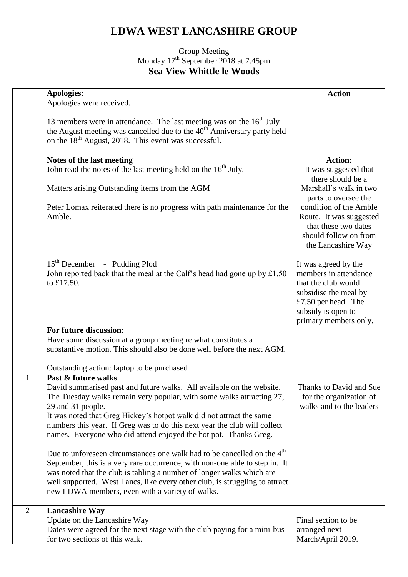## **LDWA WEST LANCASHIRE GROUP**

## Group Meeting Monday 17<sup>th</sup> September 2018 at 7.45pm **Sea View Whittle le Woods**

|                | <b>Apologies:</b>                                                                                                                                                                                                                                                                                                                                                                                                   | <b>Action</b>                                                                                                                                                       |
|----------------|---------------------------------------------------------------------------------------------------------------------------------------------------------------------------------------------------------------------------------------------------------------------------------------------------------------------------------------------------------------------------------------------------------------------|---------------------------------------------------------------------------------------------------------------------------------------------------------------------|
|                | Apologies were received.                                                                                                                                                                                                                                                                                                                                                                                            |                                                                                                                                                                     |
|                | 13 members were in attendance. The last meeting was on the $16th$ July<br>the August meeting was cancelled due to the 40 <sup>th</sup> Anniversary party held<br>on the 18 <sup>th</sup> August, 2018. This event was successful.                                                                                                                                                                                   |                                                                                                                                                                     |
|                | Notes of the last meeting                                                                                                                                                                                                                                                                                                                                                                                           | <b>Action:</b>                                                                                                                                                      |
|                | John read the notes of the last meeting held on the 16 <sup>th</sup> July.                                                                                                                                                                                                                                                                                                                                          | It was suggested that<br>there should be a                                                                                                                          |
|                | Matters arising Outstanding items from the AGM                                                                                                                                                                                                                                                                                                                                                                      | Marshall's walk in two<br>parts to oversee the                                                                                                                      |
|                | Peter Lomax reiterated there is no progress with path maintenance for the<br>Amble.                                                                                                                                                                                                                                                                                                                                 | condition of the Amble<br>Route. It was suggested<br>that these two dates<br>should follow on from<br>the Lancashire Way                                            |
|                | 15 <sup>th</sup> December - Pudding Plod<br>John reported back that the meal at the Calf's head had gone up by $£1.50$<br>to £17.50.                                                                                                                                                                                                                                                                                | It was agreed by the<br>members in attendance<br>that the club would<br>subsidise the meal by<br>£7.50 per head. The<br>subsidy is open to<br>primary members only. |
|                | For future discussion:                                                                                                                                                                                                                                                                                                                                                                                              |                                                                                                                                                                     |
|                | Have some discussion at a group meeting re what constitutes a<br>substantive motion. This should also be done well before the next AGM.                                                                                                                                                                                                                                                                             |                                                                                                                                                                     |
|                | Outstanding action: laptop to be purchased                                                                                                                                                                                                                                                                                                                                                                          |                                                                                                                                                                     |
| $\mathbf{1}$   | Past & future walks<br>David summarised past and future walks. All available on the website.<br>The Tuesday walks remain very popular, with some walks attracting 27,<br>29 and 31 people.<br>It was noted that Greg Hickey's hotpot walk did not attract the same<br>numbers this year. If Greg was to do this next year the club will collect<br>names. Everyone who did attend enjoyed the hot pot. Thanks Greg. | Thanks to David and Sue<br>for the organization of<br>walks and to the leaders                                                                                      |
|                | Due to unforeseen circumstances one walk had to be cancelled on the 4 <sup>th</sup><br>September, this is a very rare occurrence, with non-one able to step in. It<br>was noted that the club is tabling a number of longer walks which are<br>well supported. West Lancs, like every other club, is struggling to attract<br>new LDWA members, even with a variety of walks.                                       |                                                                                                                                                                     |
| $\overline{2}$ | <b>Lancashire Way</b>                                                                                                                                                                                                                                                                                                                                                                                               |                                                                                                                                                                     |
|                | Update on the Lancashire Way                                                                                                                                                                                                                                                                                                                                                                                        | Final section to be                                                                                                                                                 |
|                | Dates were agreed for the next stage with the club paying for a mini-bus<br>for two sections of this walk.                                                                                                                                                                                                                                                                                                          | arranged next<br>March/April 2019.                                                                                                                                  |